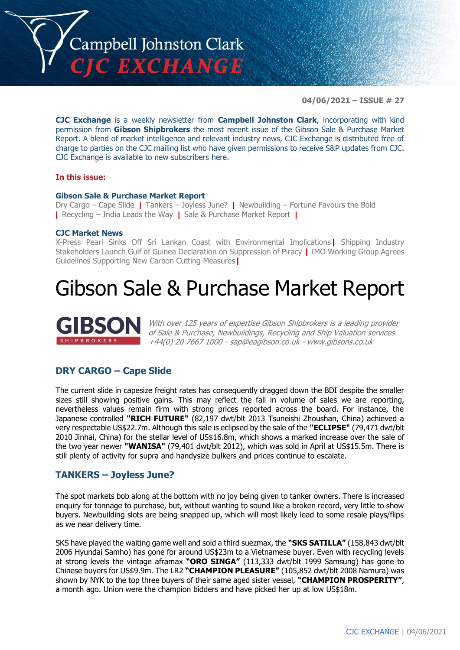

**04/06/2021 – ISSUE # 27**

**CJC Exchange** is a weekly newsletter from **Campbell Johnston Clark**, incorporating with kind permission from **Gibson Shipbrokers** the most recent issue of the Gibson Sale & Purchase Market Report. A blend of market intelligence and relevant industry news, CJC Exchange is distributed free of charge to parties on the CJC mailing list who have given permissions to receive S&P updates from CJC. CJC Exchange is available to new subscribers [here.](mailto:jamesc@cjclaw.com?subject=CJC%20Exchange%20sign-up)

#### **In this issue:**

#### **Gibson Sale & Purchase Market Report**

Dry Cargo – Cape Slide **|** Tankers – Joyless June? **|** Newbuilding – Fortune Favours the Bold **|** Recycling – India Leads the Way **|** Sale & Purchase Market Report **|**

#### **CJC Market News**

X-Press Pearl Sinks Off Sri Lankan Coast with Environmental Implications**|** Shipping Industry Stakeholders Launch Gulf of Guinea Declaration on Suppression of Piracy **|** IMO Working Group Agrees Guidelines Supporting New Carbon Cutting Measures**|**

### Gibson Sale & Purchase Market Report



With over 125 years of expertise Gibson Shipbrokers is a leading provider of Sale & Purchase, Newbuildings, Recycling and Ship Valuation services. +44(0) 20 7667 1000 - [sap@eagibson.co.uk](mailto:sap@eagibson.co.uk) - [www.gibsons.co.uk](https://protect-eu.mimecast.com/s/VO6nCGZzRS60KqcK1jQh/)

#### **DRY CARGO – Cape Slide**

The current slide in capesize freight rates has consequently dragged down the BDI despite the smaller sizes still showing positive gains. This may reflect the fall in volume of sales we are reporting, nevertheless values remain firm with strong prices reported across the board. For instance, the Japanese controlled **"RICH FUTURE"** (82,197 dwt/blt 2013 Tsuneishi Zhoushan, China) achieved a very respectable US\$22.7m. Although this sale is eclipsed by the sale of the **"ECLIPSE"** (79,471 dwt/blt 2010 Jinhai, China) for the stellar level of US\$16.8m, which shows a marked increase over the sale of the two year newer **"WANISA"** (79,401 dwt/blt 2012), which was sold in April at US\$15.5m. There is still plenty of activity for supra and handysize bulkers and prices continue to escalate.

#### **TANKERS – Joyless June?**

The spot markets bob along at the bottom with no joy being given to tanker owners. There is increased enquiry for tonnage to purchase, but, without wanting to sound like a broken record, very little to show buyers. Newbuilding slots are being snapped up, which will most likely lead to some resale plays/flips as we near delivery time.

SKS have played the waiting game well and sold a third suezmax, the **"SKS SATILLA"** (158,843 dwt/blt 2006 Hyundai Samho) has gone for around US\$23m to a Vietnamese buyer. Even with recycling levels at strong levels the vintage aframax **"ORO SINGA"** (113,333 dwt/blt 1999 Samsung) has gone to Chinese buyers for US\$9.9m. The LR2 **"CHAMPION PLEASURE"** (105,852 dwt/blt 2008 Namura) was shown by NYK to the top three buyers of their same aged sister vessel, **"CHAMPION PROSPERITY"**, a month ago. Union were the champion bidders and have picked her up at low US\$18m.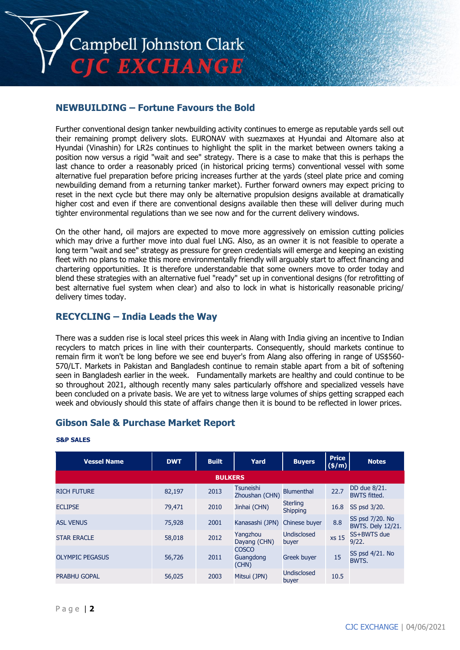

#### **NEWBUILDING – Fortune Favours the Bold**

Further conventional design tanker newbuilding activity continues to emerge as reputable yards sell out their remaining prompt delivery slots. EURONAV with suezmaxes at Hyundai and Altomare also at Hyundai (Vinashin) for LR2s continues to highlight the split in the market between owners taking a position now versus a rigid "wait and see" strategy. There is a case to make that this is perhaps the last chance to order a reasonably priced (in historical pricing terms) conventional vessel with some alternative fuel preparation before pricing increases further at the yards (steel plate price and coming newbuilding demand from a returning tanker market). Further forward owners may expect pricing to reset in the next cycle but there may only be alternative propulsion designs available at dramatically higher cost and even if there are conventional designs available then these will deliver during much tighter environmental regulations than we see now and for the current delivery windows.

On the other hand, oil majors are expected to move more aggressively on emission cutting policies which may drive a further move into dual fuel LNG. Also, as an owner it is not feasible to operate a long term "wait and see" strategy as pressure for green credentials will emerge and keeping an existing fleet with no plans to make this more environmentally friendly will arguably start to affect financing and chartering opportunities. It is therefore understandable that some owners move to order today and blend these strategies with an alternative fuel "ready" set up in conventional designs (for retrofitting of best alternative fuel system when clear) and also to lock in what is historically reasonable pricing/ delivery times today.

#### **RECYCLING – India Leads the Way**

There was a sudden rise is local steel prices this week in Alang with India giving an incentive to Indian recyclers to match prices in line with their counterparts. Consequently, should markets continue to remain firm it won't be long before we see end buyer's from Alang also offering in range of US\$560- 570/LT. Markets in Pakistan and Bangladesh continue to remain stable apart from a bit of softening seen in Bangladesh earlier in the week. Fundamentally markets are healthy and could continue to be so throughout 2021, although recently many sales particularly offshore and specialized vessels have been concluded on a private basis. We are yet to witness large volumes of ships getting scrapped each week and obviously should this state of affairs change then it is bound to be reflected in lower prices.

#### **Gibson Sale & Purchase Market Report**

| <b>Vessel Name</b>     | <b>DWT</b> | <b>Built</b>   | Yard                               | <b>Buyers</b>               | <b>Price</b><br>(\$/m) | <b>Notes</b>                                |
|------------------------|------------|----------------|------------------------------------|-----------------------------|------------------------|---------------------------------------------|
|                        |            | <b>BULKERS</b> |                                    |                             |                        |                                             |
| <b>RICH FUTURE</b>     | 82,197     | 2013           | <b>Tsuneishi</b><br>Zhoushan (CHN) | <b>Blumenthal</b>           | 22.7                   | DD due 8/21.<br><b>BWTS fitted.</b>         |
| <b>ECLIPSE</b>         | 79,471     | 2010           | Jinhai (CHN)                       | <b>Sterling</b><br>Shipping | 16.8                   | SS psd 3/20.                                |
| <b>ASL VENUS</b>       | 75,928     | 2001           | Kanasashi (JPN)                    | Chinese buver               | 8.8                    | SS psd 7/20. No<br><b>BWTS. Dely 12/21.</b> |
| <b>STAR ERACLE</b>     | 58,018     | 2012           | Yangzhou<br>Dayang (CHN)           | <b>Undisclosed</b><br>buyer | xs 15                  | SS+BWTS due<br>9/22.                        |
| <b>OLYMPIC PEGASUS</b> | 56,726     | 2011           | <b>COSCO</b><br>Guangdong<br>(CHN) | <b>Greek buyer</b>          | 15                     | SS psd 4/21. No<br><b>BWTS.</b>             |
| <b>PRABHU GOPAL</b>    | 56,025     | 2003           | Mitsui (JPN)                       | <b>Undisclosed</b><br>buyer | 10.5                   |                                             |

#### **S&P SALES**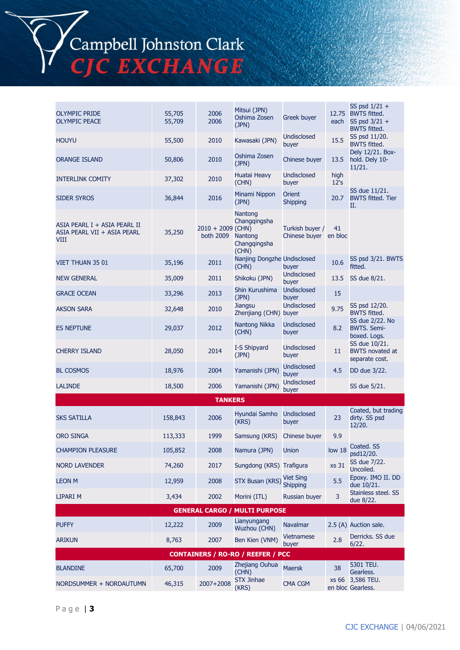Campbell Johnston Clark C EXCHANGE

OLYMPIC PRIDE OLYMPIC PEACE 55,705 55,709 2006 2006 Mitsui (JPN) Oshima Zosen (JPN) Greek buver each SS psd 1/21 + 12.75 BWTS fitted. SS psd 3/21 + BWTS fitted. HOUYU 55,500 <sup>2010</sup> Kawasaki (JPN) Undisclosed Undisclosed 15.5 SS psd 11/20.<br>
buyer 15.5 BWTS fitted. ORANGE ISLAND 50,806 2010 Oshima Zosen Chinese buyer 13.5 Dely 12/21. Boxhold. Dely 10- 11/21. INTERLINK COMITY 37,302 2010 Huatai Heavy (CHN) Undisclosed buyer high 12's SIDER SYROS 36,844 2016 Minami Nippon (JPN) **Orient** Orient<br>Shipping 20.7 SS due 11/21. BWTS fitted. Tier II. ASIA PEARL I + ASIA PEARL II ASIA PEARL VII + ASIA PEARL **VIII** 35,250 2010 + 2009 (CHN) both 2009 **Nantong** Changqingsha Nantong Changqingsha (CHN) Turkish buyer / Chinese buyer en bloc 41 VIET THUAN 35 01 35,196 2011 Nanjing Dongzhe Undistried Nanjing Dongzhe Undistried Nanjing Dongzhe Undistried<br>CHN) buyer (CHN) Nanjing Dongzhe Undisclosed  $\begin{array}{cc} 10.6 & \text{SS psd } 3/21. \text{ BWTS} \end{array}$ fitted. NEW GENERAL 35,009 2011 Shikoku (JPN) Undisclosed 13.5 SS due 8/21. GRACE OCEAN 33,296 2013 Shin Kurushima (JPN) Undisclosed Undisclosed<br>buyer 15 AKSON SARA 32,648 <sup>2010</sup> Jiangsu Zhenjiang (CHN) buyer Undisclosed Undisclosed 9.75 SS psd 12/20.<br>
buyer 8WTS fitted. ES NEPTUNE 29,037 2012 Nantong Nikka (CHN) Undisclosed buyer 8.2 SS due 2/22. No BWTS. Semiboxed. Logs. CHERRY ISLAND 28,050 <sup>2014</sup> I-S Shipyard (JPN) Undisclosed buyer 11 SS due 10/21. BWTS novated at separate cost. BL COSMOS 18,976 2004 Yamanishi (JPN) Undisclosed 4.5 DD due 3/22. LALINDE 18,500 2006 Yamanishi (JPN) Undisclosed SS due 5/21. **TANKERS** SKS SATILLA 158,843 2006 Hyundai Samho (KRS) Undisclosed buyer 23 Coated, but trading dirty. SS psd 12/20. ORO SINGA 113,333 1999 Samsung (KRS) Chinese buyer 9.9 CHAMPION PLEASURE 105,852 2008 Namura (JPN) Union low 18 Coated. SS psd12/20. NORD LAVENDER 74,260 74,260 2017 Sungdong (KRS) Trafigura xs 31 SS due 7/22. Uncoiled. LEON M 12,959 2008 STX Busan (KRS) Viet Sing 5.5 Epoxy. IMO II. DD due 10/21. LIPARI M 3,434 2002 Morini (ITL) Russian buyer 3 Stainless steel. SS due 8/22.

| <b>GENERAL CARGO / MULTI PURPOSE</b>     |        |           |                             |                            |     |                                       |  |  |
|------------------------------------------|--------|-----------|-----------------------------|----------------------------|-----|---------------------------------------|--|--|
| <b>PUFFY</b>                             | 12,222 | 2009      | Lianyungang<br>Wuzhou (CHN) | <b>Navalmar</b>            |     | 2.5 (A) Auction sale.                 |  |  |
| <b>ARIKUN</b>                            | 8,763  | 2007      | Ben Kien (VNM)              | <b>Vietnamese</b><br>buver | 2.8 | Derricks. SS due<br>6/22.             |  |  |
| <b>CONTAINERS / RO-RO / REEFER / PCC</b> |        |           |                             |                            |     |                                       |  |  |
| <b>BLANDINE</b>                          | 65,700 | 2009      | Zhejiang Ouhua<br>(CHN)     | <b>Maersk</b>              | 38  | 5301 TEU.<br>Gearless.                |  |  |
| NORDSUMMER + NORDAUTUMN                  | 46,315 | 2007+2008 | <b>STX Jinhae</b><br>(KRS)  | <b>CMA CGM</b>             |     | xs 66 3,586 TEU.<br>en bloc Gearless. |  |  |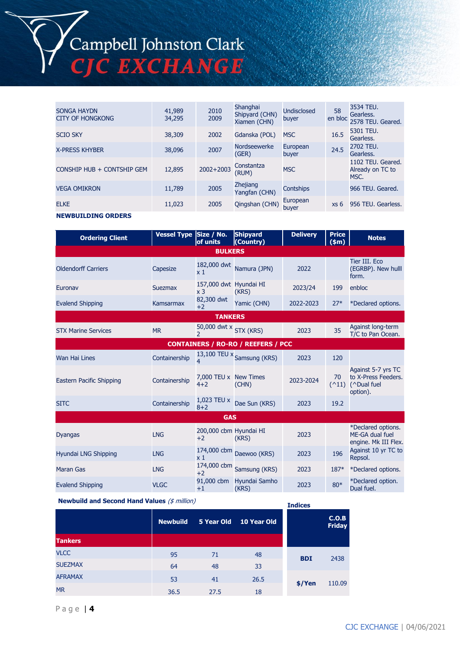# Campbell Johnston Clark<br>CJC EXCHANGE

| <b>SONGA HAYDN</b><br><b>CITY OF HONGKONG</b> | 41,989<br>34,295 | 2010<br>2009  | Shanghai<br>Shipyard (CHN)<br>Xiamen (CHN) | <b>Undisclosed</b><br>buyer | 58<br>en bloc   | 3534 TEU.<br>Gearless.<br>2578 TEU, Geared.   |
|-----------------------------------------------|------------------|---------------|--------------------------------------------|-----------------------------|-----------------|-----------------------------------------------|
| <b>SCIO SKY</b>                               | 38,309           | 2002          | Gdanska (POL)                              | <b>MSC</b>                  | 16.5            | 5301 TEU.<br>Gearless.                        |
| <b>X-PRESS KHYBER</b>                         | 38,096           | 2007          | Nordseewerke<br>(GER)                      | European<br>buyer           | 24.5            | 2702 TEU.<br>Gearless.                        |
| CONSHIP HUB + CONTSHIP GEM                    | 12,895           | $2002 + 2003$ | Constantza<br>(RUM)                        | <b>MSC</b>                  |                 | 1102 TEU. Geared.<br>Already on TC to<br>MSC. |
| <b>VEGA OMIKRON</b>                           | 11,789           | 2005          | <b>Zhejiang</b><br>Yangfan (CHN)           | <b>Contships</b>            |                 | 966 TEU. Geared.                              |
| <b>ELKE</b>                                   | 11,023           | 2005          | Qingshan (CHN)                             | European<br>buyer           | xs <sub>6</sub> | 956 TEU. Gearless.                            |
| <b>NEWBUILDING ORDERS</b>                     |                  |               |                                            |                             |                 |                                               |

| <b>Ordering Client</b>                    | Vessel Type Size / No. | of units                                 | <b>Shipyard</b><br>(Country) | <b>Delivery</b> | <b>Price</b><br>$(\$m)$ | <b>Notes</b>                                                                                        |  |  |
|-------------------------------------------|------------------------|------------------------------------------|------------------------------|-----------------|-------------------------|-----------------------------------------------------------------------------------------------------|--|--|
|                                           |                        | <b>BULKERS</b>                           |                              |                 |                         |                                                                                                     |  |  |
| <b>Oldendorff Carriers</b>                | Capesize               | 182,000 dwt<br>$\times 1$                | Namura (JPN)                 | 2022            |                         | Tier III. Eco<br>(EGRBP). New hulll<br>form.                                                        |  |  |
| Euronav                                   | <b>Suezmax</b>         | 157,000 dwt Hyundai HI<br>x <sub>3</sub> | (KRS)                        | 2023/24         | 199                     | enbloc                                                                                              |  |  |
| <b>Evalend Shipping</b>                   | <b>Kamsarmax</b>       | 82,300 dwt<br>$+2$                       | Yamic (CHN)                  | 2022-2023       | $27*$                   | *Declared options.                                                                                  |  |  |
|                                           |                        | <b>TANKERS</b>                           |                              |                 |                         |                                                                                                     |  |  |
| <b>STX Marine Services</b>                | <b>MR</b>              | 50,000 dwt x STX (KRS)<br>$\mathcal{P}$  |                              | 2023            | 35                      | Against long-term<br>T/C to Pan Ocean.                                                              |  |  |
| <b>CONTAINERS / RO-RO / REEFERS / PCC</b> |                        |                                          |                              |                 |                         |                                                                                                     |  |  |
| <b>Wan Hai Lines</b>                      | Containership          |                                          | 13,100 TEU x Samsung (KRS)   | 2023            | 120                     |                                                                                                     |  |  |
| Eastern Pacific Shipping                  | Containership          | 7,000 TEU x New Times<br>$4 + 2$         | (CHN)                        | 2023-2024       | 70                      | Against 5-7 yrs TC<br>to X-Press Feeders.<br>$($ $^{\wedge}11)$ ( $^{\wedge}$ Dual fuel<br>option). |  |  |
| <b>SITC</b>                               | Containership          | 1,023 TEU x<br>$8 + 2$                   | Dae Sun (KRS)                | 2023            | 19.2                    |                                                                                                     |  |  |
|                                           |                        | <b>GAS</b>                               |                              |                 |                         |                                                                                                     |  |  |
| <b>Dyangas</b>                            | <b>LNG</b>             | 200,000 cbm Hyundai HI<br>$+2$           | (KRS)                        | 2023            |                         | *Declared options.<br>ME-GA dual fuel<br>engine. Mk III Flex.                                       |  |  |
| Hyundai LNG Shipping                      | <b>LNG</b>             | $\times 1$                               | 174,000 cbm Daewoo (KRS)     | 2023            | 196                     | Against 10 yr TC to<br>Repsol.                                                                      |  |  |
| Maran Gas                                 | <b>LNG</b>             | $+2$                                     | 174,000 cbm Samsung (KRS)    | 2023            | $187*$                  | *Declared options.                                                                                  |  |  |
| <b>Evalend Shipping</b>                   | <b>VLGC</b>            | 91,000 cbm<br>$+1$                       | Hyundai Samho<br>(KRS)       | 2023            | $80*$                   | *Declared option.<br>Dual fuel.                                                                     |  |  |

**Newbuild and Second Hand Values** (\$ million)

| <b>Newbulld and Second Hand Values</b> ( $\frac{1}{2}$ <i>Illillion</i> ) | <b>Indices</b>  |            |             |            |                        |
|---------------------------------------------------------------------------|-----------------|------------|-------------|------------|------------------------|
|                                                                           | <b>Newbuild</b> | 5 Year Old | 10 Year Old |            | C.O.B<br><b>Friday</b> |
| <b>Tankers</b>                                                            |                 |            |             |            |                        |
| <b>VLCC</b>                                                               | 95              | 71         | 48          | <b>BDI</b> | 2438                   |
| <b>SUEZMAX</b>                                                            | 64              | 48         | 33          |            |                        |
| <b>AFRAMAX</b>                                                            | 53              | 41         | 26.5        |            |                        |
| <b>MR</b>                                                                 | 36.5            | 27.5       | 18          | \$/Yen     | 110.09                 |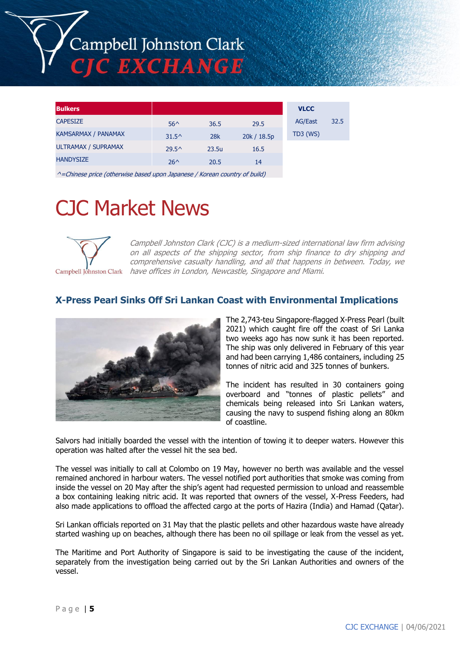# Campbell Johnston Clark C EXCHANGE

| <b>Bulkers</b>             |                |            |             | <b>VLCC</b>    |      |
|----------------------------|----------------|------------|-------------|----------------|------|
| <b>CAPESIZE</b>            | $56^{\circ}$   | 36.5       | 29.5        | <b>AG/East</b> | 32.5 |
| <b>KAMSARMAX / PANAMAX</b> | $31.5^{\circ}$ | <b>28k</b> | 20k / 18.5p | $TD3$ (WS)     |      |
| <b>ULTRAMAX / SUPRAMAX</b> | $29.5^{\circ}$ | 23.5u      | 16.5        |                |      |
| <b>HANDYSIZE</b>           | $26^{\wedge}$  | 20.5       | 14          |                |      |

^=Chinese price (otherwise based upon Japanese / Korean country of build)

## CJC Market News



Campbell Johnston Clark (CJC) is a medium-sized international law firm advising on all aspects of the shipping sector, from ship finance to dry shipping and comprehensive casualty handling, and all that happens in between. Today, we Campbell Johnston Clark have offices in London, Newcastle, Singapore and Miami.

#### **X-Press Pearl Sinks Off Sri Lankan Coast with Environmental Implications**



The 2,743-teu Singapore-flagged X-Press Pearl (built 2021) which caught fire off the coast of Sri Lanka two weeks ago has now sunk it has been reported. The ship was only delivered in February of this year and had been carrying 1,486 containers, including 25 tonnes of nitric acid and 325 tonnes of bunkers.

The incident has resulted in 30 containers going overboard and "tonnes of plastic pellets" and chemicals being released into Sri Lankan waters, causing the navy to suspend fishing along an 80km of coastline.

Salvors had initially boarded the vessel with the intention of towing it to deeper waters. However this operation was halted after the vessel hit the sea bed.

The vessel was initially to call at Colombo on 19 May, however no berth was available and the vessel remained anchored in harbour waters. The vessel notified port authorities that smoke was coming from inside the vessel on 20 May after the ship's agent had requested permission to unload and reassemble a box containing leaking nitric acid. It was reported that owners of the vessel, X-Press Feeders, had also made applications to offload the affected cargo at the ports of Hazira (India) and Hamad (Qatar).

Sri Lankan officials reported on 31 May that the plastic pellets and other hazardous waste have already started washing up on beaches, although there has been no oil spillage or leak from the vessel as yet.

The Maritime and Port Authority of Singapore is said to be investigating the cause of the incident, separately from the investigation being carried out by the Sri Lankan Authorities and owners of the vessel.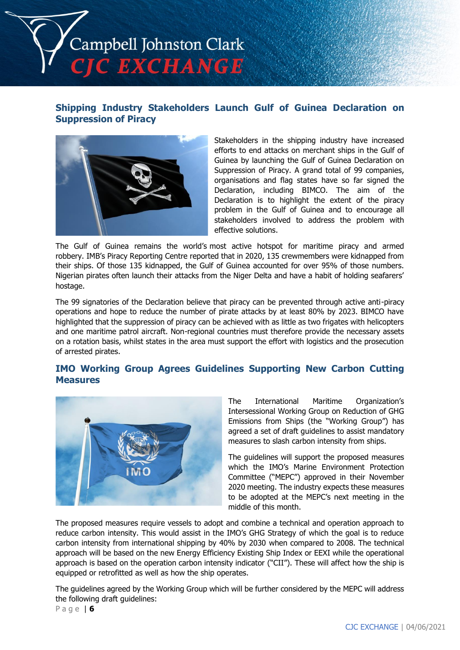

#### **Shipping Industry Stakeholders Launch Gulf of Guinea Declaration on Suppression of Piracy**



Stakeholders in the shipping industry have increased efforts to end attacks on merchant ships in the Gulf of Guinea by launching the Gulf of Guinea Declaration on Suppression of Piracy. A grand total of 99 companies, organisations and flag states have so far signed the Declaration, including BIMCO. The aim of the Declaration is to highlight the extent of the piracy problem in the Gulf of Guinea and to encourage all stakeholders involved to address the problem with effective solutions.

The Gulf of Guinea remains the world's most active hotspot for maritime piracy and armed robbery. IMB's Piracy Reporting Centre reported that in 2020, 135 crewmembers were kidnapped from their ships. Of those 135 kidnapped, the Gulf of Guinea accounted for over 95% of those numbers. Nigerian pirates often launch their attacks from the Niger Delta and have a habit of holding seafarers' hostage.

The 99 signatories of the Declaration believe that piracy can be prevented through active anti-piracy operations and hope to reduce the number of pirate attacks by at least 80% by 2023. BIMCO have highlighted that the suppression of piracy can be achieved with as little as two frigates with helicopters and one maritime patrol aircraft. Non-regional countries must therefore provide the necessary assets on a rotation basis, whilst states in the area must support the effort with logistics and the prosecution of arrested pirates.

#### **IMO Working Group Agrees Guidelines Supporting New Carbon Cutting Measures**



The International Maritime Organization's Intersessional Working Group on Reduction of GHG Emissions from Ships (the "Working Group") has agreed a set of draft guidelines to assist mandatory measures to slash carbon intensity from ships.

The guidelines will support the proposed measures which the IMO's Marine Environment Protection Committee ("MEPC") approved in their November 2020 meeting. The industry expects these measures to be adopted at the MEPC's next meeting in the middle of this month.

The proposed measures require vessels to adopt and combine a technical and operation approach to reduce carbon intensity. This would assist in the IMO's GHG Strategy of which the goal is to reduce carbon intensity from international shipping by 40% by 2030 when compared to 2008. The technical approach will be based on the new Energy Efficiency Existing Ship Index or EEXI while the operational approach is based on the operation carbon intensity indicator ("CII"). These will affect how the ship is equipped or retrofitted as well as how the ship operates.

The guidelines agreed by the Working Group which will be further considered by the MEPC will address the following draft guidelines:

P a g e | **6**